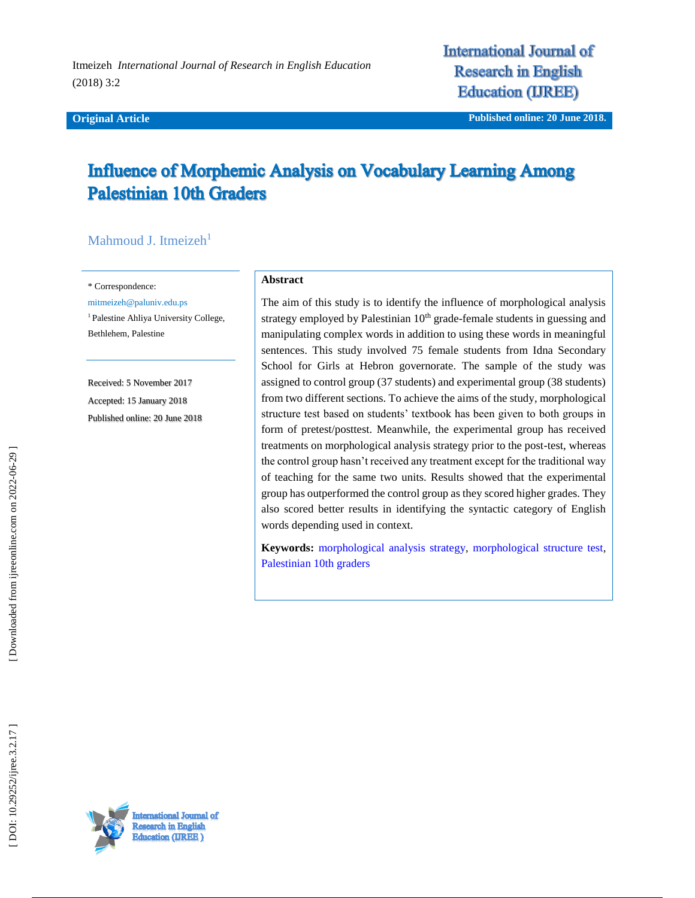Itmeizeh *International Journal of Research in English Education*  (2018) 3:2

#### **Original Article**

**International Journal of Research in English Education (IREE)** 

**iginal Article Published online : 20 June 2018 .**

# **Influence of Morphemic Analysis on Vocabulary Learning Among Palestinian 10th Graders**

# Mahmoud J. Itmeizeh<sup>1</sup>

\* Correspondence:

mitmeizeh@paluniv.edu.ps

<sup>1</sup> Palestine Ahliya University College, Bethlehem, Palestine

Received: 5 November 201 7 Accepted: 15 January 201 8 Published online : 20 June 2018

#### **Abstract**

The aim of this study is to identify the influence of morphological analysis strategy employed by Palestinian  $10<sup>th</sup>$  grade-female students in guessing and manipulating complex words in addition to using these words in meaningful sentences. This study involved 75 female students from Idna Secondary School for Girls at Hebron governorate. The sample of the study was assigned to control group (37 students) and experimental group (38 students) from two different sections. To achieve the aims of the study, morphological structure test based on students' textbook has been given to both groups in form of pretest/posttest. Meanwhile, the experimental group has received treatments on morphological analysis strategy prior to the post -test, whereas the control group hasn't received any treatment except for the traditional way of teaching for the same two units. Results showed that the experimental group has outperformed the control group as they scored higher grades. They also scored better results in identifying the syntactic category of English words depending used in context.

**Keywords:** [morphological analysis strategy,](https://ijreeonline.com/search.php?sid=1&slc_lang=en&key=Morphological+analysis+strategy) [morphological structure test,](https://ijreeonline.com/search.php?sid=1&slc_lang=en&key=morphological+structure+test) [Palestinian 10th graders](https://ijreeonline.com/search.php?sid=1&slc_lang=en&key=Palestinian+10th+graders)

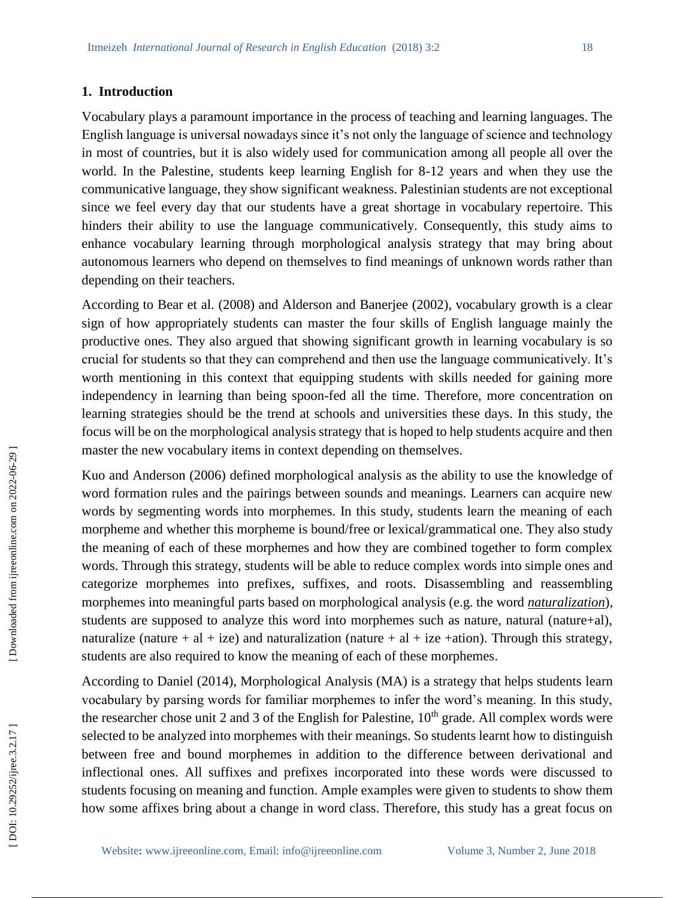## **1. Introduction**

Vocabulary plays a paramount importance in the process of teaching and learning languages. The English language is universal nowadays since it's not only the language of science and technology in most of countries, but it is also widely used for communication among all people all over the world. In the Palestine, students keep learning English for 8 -12 years and when they use the communicative language, they show significant weakness. Palestinian students are not exceptional since we feel every day that our students have a great shortage in vocabulary repertoire. This hinders their ability to use the language communicatively. Consequently, this study aims to enhance vocabulary learning through morphological analysis strategy that may bring about autonomous learners who depend on themselves to find meanings of unknown words rather than depending on their teachers.

According to Bear et al. (2008) and Alderson and Banerjee (2002), vocabulary growth is a clear sign of how appropriately students can master the four skills of English language mainly the productive ones. They also argued that showing significant growth in learning vocabulary is so crucial for students so that they can comprehend and then use the language communicatively. It's worth mentioning in this context that equipping students with skills needed for gaining more independency in learning than being spoon -fed all the time. Therefore, more concentration on learning strategies should be the trend at schools and universities these days. In this study, the focus will be on the morphological analysis strategy that is hoped to help students acquire and then master the new vocabulary items in context depending on themselves.

Kuo and Anderson (2006) defined morphological analysis as the ability to use the knowledge of word formation rules and the pairings between sounds and meanings. Learners can acquire new words by segmenting words into morphemes. In this study, students learn the meaning of each morpheme and whether this morpheme is bound/free or lexical/grammatical one. They also study the meaning of each of these morphemes and how they are combined together to form complex words. Through this strategy, students will be able to reduce complex words into simple ones and categorize morphemes into prefixes, suffixes, and roots. Disassembling and reassembling morphemes into meaningful parts based on morphological analysis (e.g. the word *naturalization*), students are supposed to analyze this word into morphemes such as nature, natural (nature+al), naturalize (nature + al + ize) and naturalization (nature + al + ize +ation). Through this strategy, students are also required to know the meaning of each of these morphemes.

According to Daniel (2014), Morphological Analysis (MA) is a strategy that helps students learn vocabulary by parsing words for familiar morphemes to infer the word's meaning. In this study, the researcher chose unit 2 and 3 of the English for Palestine,  $10<sup>th</sup>$  grade. All complex words were selected to be analyzed into morphemes with their meanings. So students learnt how to distinguish between free and bound morphemes in addition to the difference between derivational and inflectional ones. All suffixes and prefixes incorporated into these words were discussed to students focusing on meaning and function. Ample examples were given to students to show them how some affixes bring about a change in word class. Therefore, this study has a great focus on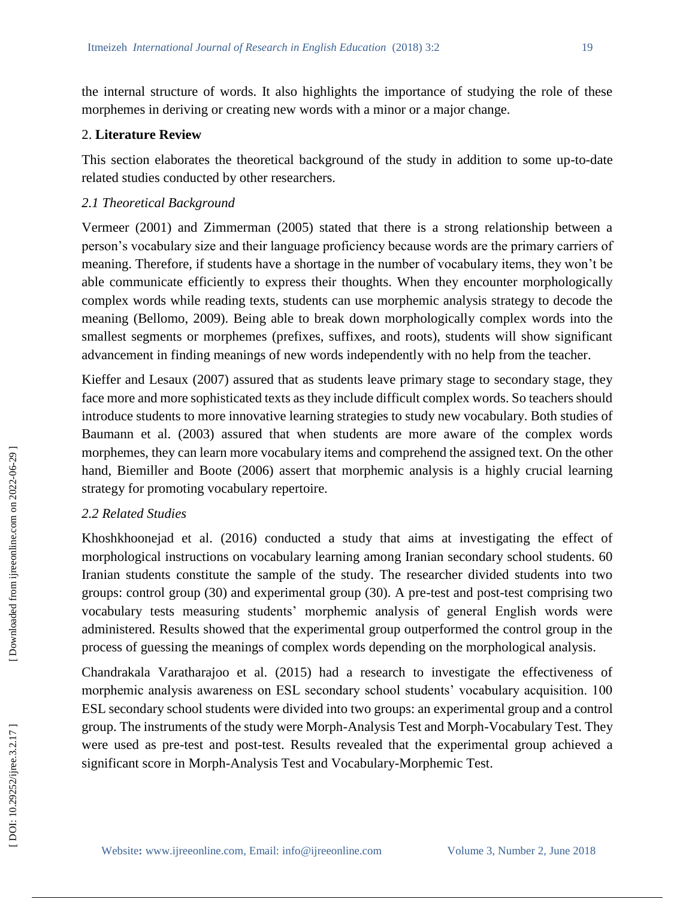the internal structure of words. It also highlights the importance of studying the role of these morphemes in deriving or creating new words with a minor or a major change.

# 2. **Literature Review**

This section elaborates the theoretical background of the study in addition to some up-to-date related studies conducted by other researchers.

# *2.1 Theoretical Background*

Vermeer (2001) and Zimmerman (2005) stated that there is a strong relationship between a person's vocabulary size and their language proficiency because words are the primary carriers of meaning. Therefore, if students have a shortage in the number of vocabulary items, they won't be able communicate efficiently to express their thoughts. When they encounter morphologically complex words while reading texts, students can use morphemic analysis strategy to decode the meaning (Bellomo, 2009). Being able to break down morphologically complex words into the smallest segments or morphemes (prefixes, suffixes, and roots), students will show significant advancement in finding meanings of new words independently with no help from the teacher.

Kieffer and Lesaux (2007) assured that as students leave primary stage to secondary stage, they face more and more sophisticated texts as they include difficult complex words. So teachers should introduce students to more innovative learning strategies to study new vocabulary. Both studies of Baumann et al. (2003) assured that when students are more aware of the complex words morphemes, they can learn more vocabulary items and comprehend the assigned text. On the other hand, Biemiller and Boote (2006) assert that morphemic analysis is a highly crucial learning strategy for promoting vocabulary repertoire.

# *2.2 Related Studies*

Khoshkhoonejad et al. (2016) conducted a study that aims at investigating the effect of morphological instructions on vocabulary learning among Iranian secondary school students. 60 Iranian students constitute the sample of the study. The researcher divided students into two groups: control group (30) and experimental group (30). A pre -test and post -test comprising two vocabulary tests measuring students' morphemic analysis of general English words were administered. Results showed that the experimental group outperformed the control group in the process of guessing the meanings of complex words depending on the morphological analysis.

Chandrakala Varatharajoo et al. (2015) had a research to investigate the effectiveness of morphemic analysis awareness on ESL secondary school students' vocabulary acquisition. 100 ESL secondary school students were divided into two groups: an experimental group and a control group. The instruments of the study were Morph -Analysis Test and Morph -Vocabulary Test. They were used as pre -test and post -test. Results revealed that the experimental group achieved a significant score in Morph -Analysis Test and Vocabulary -Morphemic Test.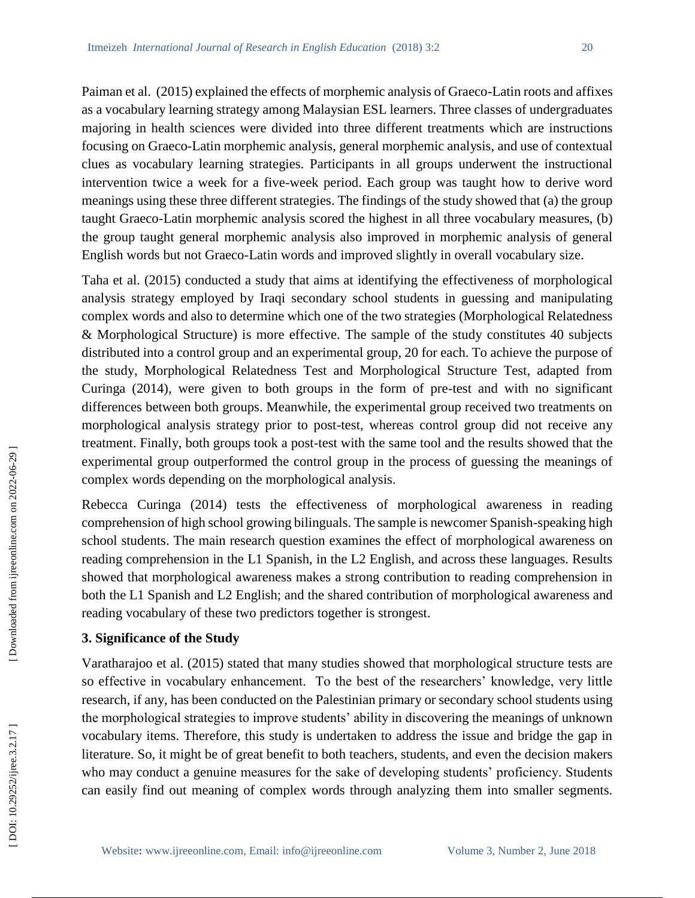Paiman et al. (2015) explained the effects of morphemic analysis of Graeco-Latin roots and affixes as a vocabulary learning strategy among Malaysian ESL learners. Three classes of undergraduates majoring in health sciences were divided into three different treatments which are instructions focusing on Graeco -Latin morphemic analysis, general morphemic analysis, and use of contextual clues as vocabulary learning strategies. Participants in all groups underwent the instructional intervention twice a week for a five -week period. Each group was taught how to derive word meanings using these three different strategies. The findings of the study showed that (a) the group taught Graeco -Latin morphemic analysis scored the highest in all three vocabulary measures, (b) the group taught general morphemic analysis also improved in morphemic analysis of general English words but not Graeco -Latin words and improved slightly in overall vocabulary size.

Taha et al. (2015) conducted a study that aims at identifying the effectiveness of morphological analysis strategy employed by Iraqi secondary school students in guessing and manipulating complex words and also to determine which one of the two strategies (Morphological Relatedness & Morphological Structure) is more effective. The sample of the study constitutes 40 subjects distributed into a control group and an experimental group, 20 for each. To achieve the purpose of the study, Morphological Relatedness Test and Morphological Structure Test, adapted from Curinga (2014), were given to both groups in the form of pre -test and with no significant differences between both groups. Meanwhile, the experimental group received two treatments on morphological analysis strategy prior to post -test, whereas control group did not receive any treatment. Finally, both groups took a post -test with the same tool and the results showed that the experimental group outperformed the control group in the process of guessing the meanings of complex words depending on the morphological analysis.

Rebecca Curinga (2014) tests the effectiveness of morphological awareness in reading comprehension of high school growing bilinguals. The sample is newcomer Spanish -speaking high school students. The main research question examines the effect of morphological awareness on reading comprehension in the L1 Spanish, in the L2 English, and across these languages. Results showed that morphological awareness makes a strong contribution to reading comprehension in both the L1 Spanish and L2 English; and the shared contribution of morphological awareness and reading vocabulary of these two predictors together is strongest.

## **3. Significance of the Study**

Varatharajoo et al. (2015) stated that many studies showed that morphological structure tests are so effective in vocabulary enhancement. To the best of the researchers' knowledge, very little research, if any, has been conducted on the Palestinian primary or secondary school students using the morphological strategies to improve students' ability in discovering the meanings of unknown vocabulary items. Therefore, this study is undertaken to address the issue and bridge the gap in literature. So, it might be of great benefit to both teachers, students, and even the decision makers who may conduct a genuine measures for the sake of developing students' proficiency. Students can easily find out meaning of complex words through analyzing them into smaller segments.

DOI: 10.29252/ijree.3.2.17]

 [\[ DOI: 10.29252/ijree.3.2.17 \]](http://dx.doi.org/10.29252/ijree.3.2.17) [\[ Downloaded from ijreeonline.com on 202](https://ijreeonline.com/article-1-95-en.html)2-06-29 ]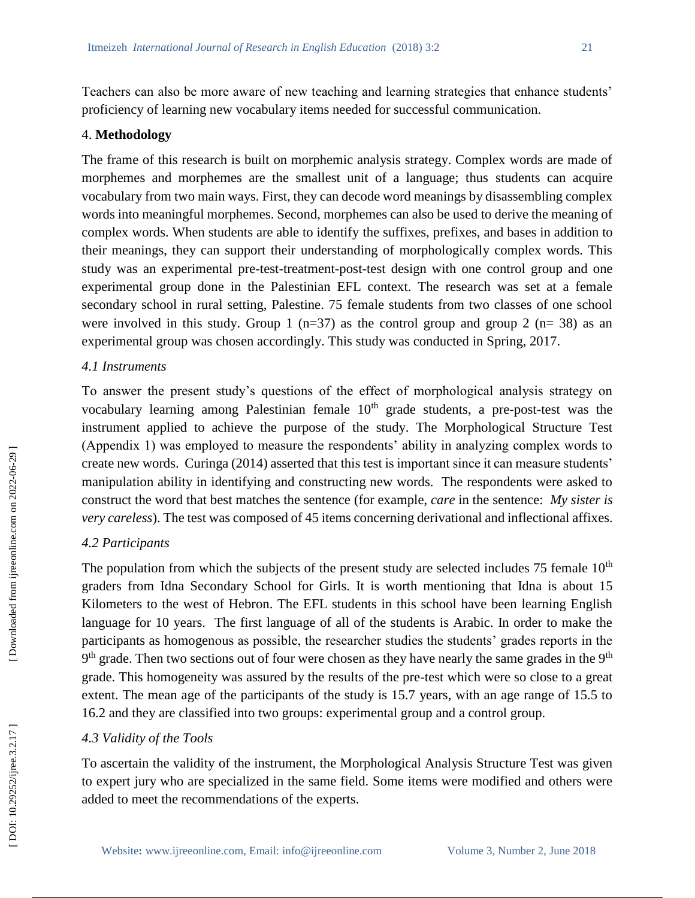Teachers can also be more aware of new teaching and learning strategies that enhance students' proficiency of learning new vocabulary items needed for successful communication.

# 4. **Methodology**

The frame of this research is built on morphemic analysis strategy. Complex words are made of morphemes and morphemes are the smallest unit of a language; thus students can acquire vocabulary from two main ways. First, they can decode word meanings by disassembling complex words into meaningful morphemes. Second, morphemes can also be used to derive the meaning of complex words. When students are able to identify the suffixes, prefixes, and bases in addition to their meanings, they can support their understanding of morphologically complex words. This study was an experimental pre -test -treatment -post -test design with one control group and one experimental group done in the Palestinian EFL context. The research was set at a female secondary school in rural setting, Palestine. 75 female students from two classes of one school were involved in this study. Group 1 (n=37) as the control group and group 2 (n= 38) as an experimental group was chosen accordingly. This study was conducted in Spring, 2017.

#### *4.1 Instruments*

To answer the present study's questions of the effect of morphological analysis strategy on vocabulary learning among Palestinian female 10<sup>th</sup> grade students, a pre-post-test was the instrument applied to achieve the purpose of the study. The Morphological Structure Test (Appendix 1) was employed to measure the respondents' ability in analyzing complex words to create new words. Curinga (2014) asserted that this test is important since it can measure students' manipulation ability in identifying and constructing new words. The respondents were asked to construct the word that best matches the sentence (for example, *care* in the sentence: *My sister is very careless*). The test was composed of 45 items concerning derivational and inflectional affixes.

## *4.2 Participants*

The population from which the subjects of the present study are selected includes 75 female  $10<sup>th</sup>$ graders from Idna Secondary School for Girls. It is worth mentioning that Idna is about 15 Kilometers to the west of Hebron. The EFL students in this school have been learning English language for 10 years. The first language of all of the students is Arabic. In order to make the participants as homogenous as possible, the researcher studies the students' grades reports in the 9<sup>th</sup> grade. Then two sections out of four were chosen as they have nearly the same grades in the 9<sup>th</sup> grade. This homogeneity was assured by the results of the pre -test which were so close to a great extent. The mean age of the participants of the study is 15.7 years, with an age range of 15.5 to 16.2 and they are classified into two groups: experimental group and a control group.

## *4.3 Validity of the Tools*

To ascertain the validity of the instrument, the Morphological Analysis Structure Test was given to expert jury who are specialized in the same field. Some items were modified and others were added to meet the recommendations of the experts.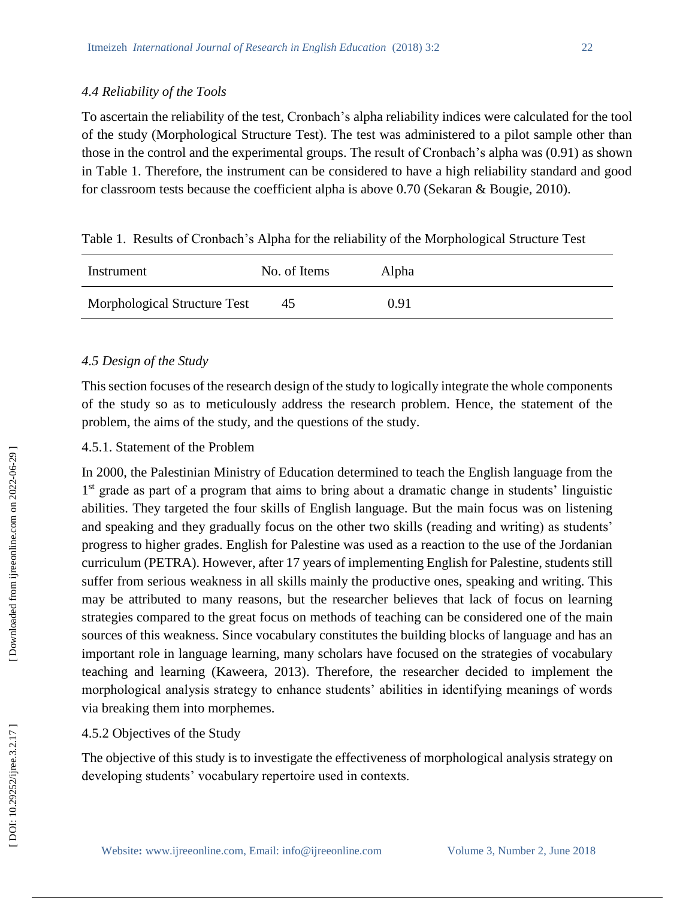To ascertain the reliability of the test, Cronbach's alpha reliability indices were calculated for the tool of the study (Morphological Structure Test). The test was administered to a pilot sample other than those in the control and the experimental groups. The result of Cronbach's alpha was (0.91) as shown in Table 1. Therefore, the instrument can be considered to have a high reliability standard and good for classroom tests because the coefficient alpha is above 0.70 (Sekaran & Bougie, 2010).

|  |  |  | Table 1. Results of Cronbach's Alpha for the reliability of the Morphological Structure Test |
|--|--|--|----------------------------------------------------------------------------------------------|
|  |  |  |                                                                                              |

| Instrument                   | No. of Items | Alpha |  |
|------------------------------|--------------|-------|--|
| Morphological Structure Test | 45           | 0.91  |  |

# *4.5 Design of the Study*

This section focuses of the research design of the study to logically integrate the whole components of the study so as to meticulously address the research problem. Hence, the statement of the problem, the aims of the study, and the questions of the study.

# 4.5.1. Statement of the Problem

In 2000, the Palestinian Ministry of Education determined to teach the English language from the  $1<sup>st</sup>$  grade as part of a program that aims to bring about a dramatic change in students' linguistic abilities. They targeted the four skills of English language. But the main focus was on listening and speaking and they gradually focus on the other two skills (reading and writing) as students' progress to higher grades. English for Palestine was used as a reaction to the use of the Jordanian curriculum (PETRA). However, after 17 years of implementing English for Palestine, students still suffer from serious weakness in all skills mainly the productive ones, speaking and writing. This may be attributed to many reasons, but the researcher believes that lack of focus on learning strategies compared to the great focus on methods of teaching can be considered one of the main sources of this weakness. Since vocabulary constitutes the building blocks of language and has an important role in language learning, many scholars have focused on the strategies of vocabulary teaching and learning (Kaweera, 2013). Therefore, the researcher decided to implement the morphological analysis strategy to enhance students' abilities in identifying meanings of words via breaking them into morphemes.

# 4.5.2 Objectives of the Study

The objective of this study is to investigate the effectiveness of morphological analysis strategy on developing students' vocabulary repertoire used in contexts.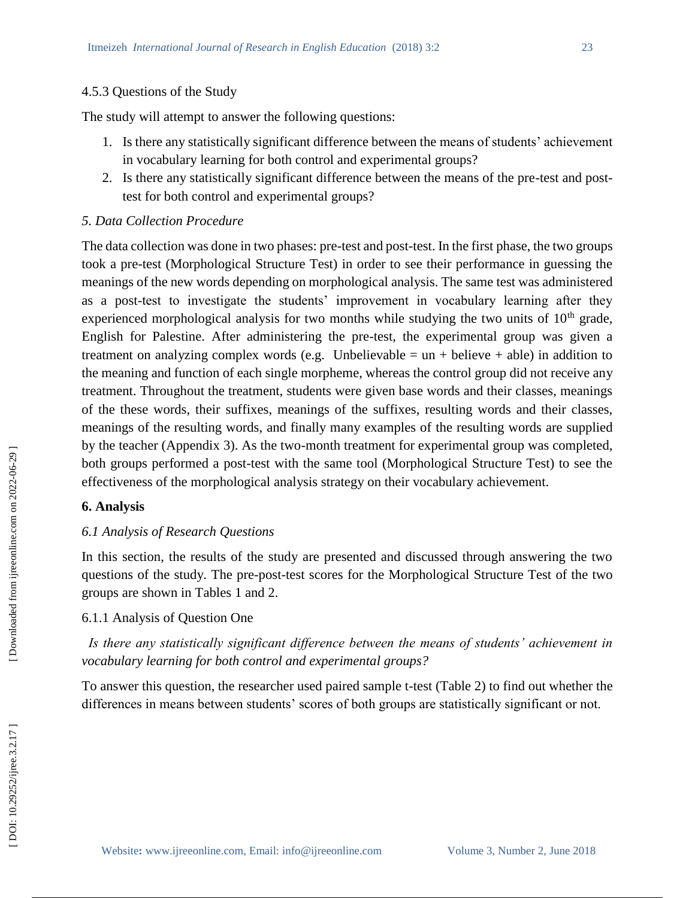#### 4.5.3 Questions of the Study

The study will attempt to answer the following questions:

- 1. Is there any statistically significant difference between the means of students' achievement in vocabulary learning for both control and experimental groups?
- 2 . Is there any statistically significant difference between the means of the pre -test and post test for both control and experimental groups?

## *5. Data Collection Procedure*

The data collection was done in two phases: pre -test and post -test. In the first phase, the two groups took a pre -test (Morphological Structure Test) in order to see their performance in guessing the meanings of the new words depending on morphological analysis. The same test was administered as a post -test to investigate the students' improvement in vocabulary learning after they experienced morphological analysis for two months while studying the two units of  $10<sup>th</sup>$  grade, English for Palestine. After administering the pre -test, the experimental group was given a treatment on analyzing complex words (e.g. Unbelievable =  $un +$  believe + able) in addition to the meaning and function of each single morpheme, whereas the control group did not receive any treatment. Throughout the treatment, students were given base words and their classes, meanings of the these words, their suffixes, meanings of the suffixes, resulting words and their classes, meanings of the resulting words, and finally many examples of the resulting words are supplied by the teacher (Appendix 3). As the two -month treatment for experimental group was completed, both groups performed a post -test with the same tool (Morphological Structure Test) to see the effectiveness of the morphological analysis strategy on their vocabulary achievement.

## **6. Analysis**

## *6.1 Analysis of Research Questions*

In this section, the results of the study are presented and discussed through answering the two questions of the study. The pre -post -test scores for the Morphological Structure Test of the two groups are shown in Tables 1 and 2.

## 6.1.1 Analysis of Question One

 *Is there any statistically significant difference between the means of students' achievement in vocabulary learning for both control and experimental groups?*

To answer this question, the researcher used paired sample t -test (Table 2) to find out whether the differences in means between students' scores of both groups are statistically significant or not.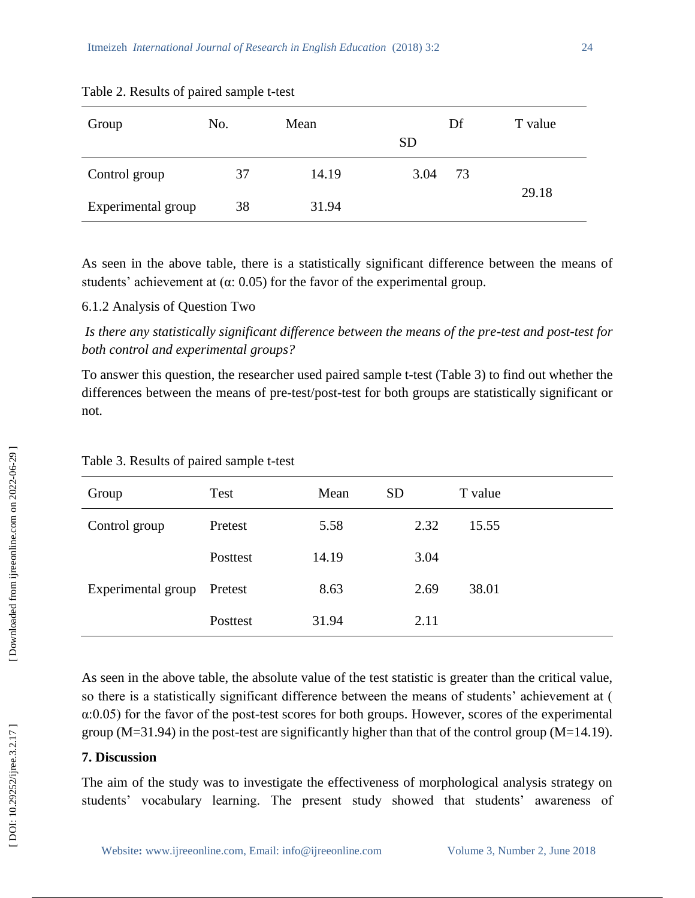| Group              | No. | Mean  | Df<br><b>SD</b> | T value |
|--------------------|-----|-------|-----------------|---------|
| Control group      | 37  | 14.19 | 3.04<br>73      |         |
| Experimental group | 38  | 31.94 |                 | 29.18   |

## Table 2. Results of paired sample t -test

As seen in the above table, there is a statistically significant difference between the means of students' achievement at  $(\alpha: 0.05)$  for the favor of the experimental group.

#### 6.1.2 Analysis of Question Two

*Is there any statistically significant difference between the means of the pre -test and post -test for both control and experimental groups?*

To answer this question, the researcher used paired sample t -test (Table 3) to find out whether the differences between the means of pre -test/post -test for both groups are statistically significant or not.

| Group              | Test     | Mean  | <b>SD</b> | T value |
|--------------------|----------|-------|-----------|---------|
| Control group      | Pretest  | 5.58  | 2.32      | 15.55   |
|                    | Posttest | 14.19 | 3.04      |         |
| Experimental group | Pretest  | 8.63  | 2.69      | 38.01   |
|                    | Posttest | 31.94 | 2.11      |         |

#### Table 3. Results of paired sample t-test

As seen in the above table, the absolute value of the test statistic is greater than the critical value, so there is a statistically significant difference between the means of students' achievement at ( α:0.05) for the favor of the post -test scores for both groups. However, scores of the experimental group (M=31.94) in the post -test are significantly higher than that of the control group (M=14.19).

#### **7. Discussion**

The aim of the study was to investigate the effectiveness of morphological analysis strategy on students' vocabulary learning. The present study showed that students' awareness of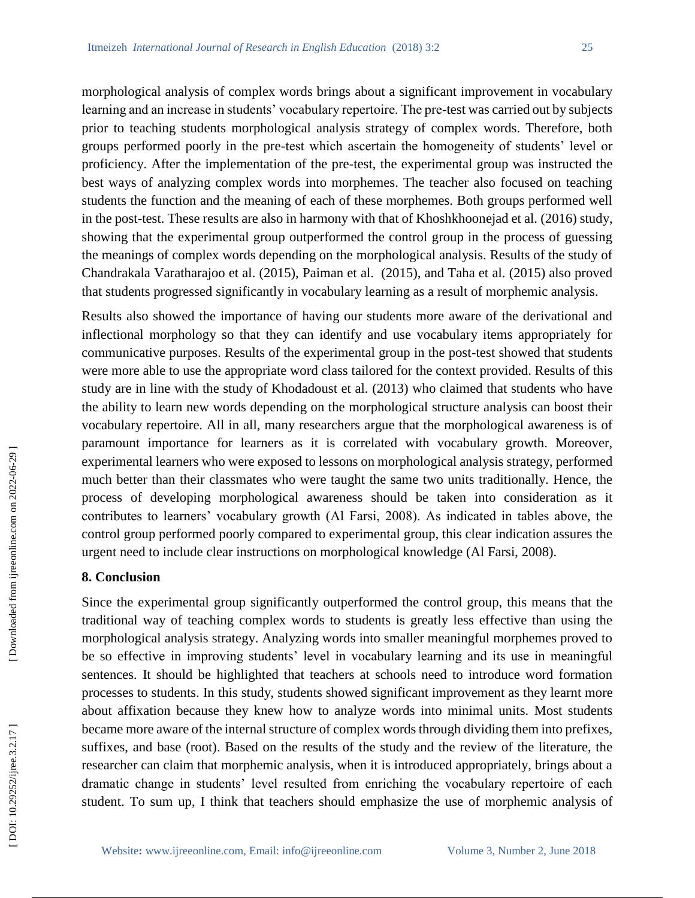morphological analysis of complex words brings about a significant improvement in vocabulary learning and an increase in students' vocabulary repertoire. The pre-test was carried out by subjects prior to teaching students morphological analysis strategy of complex words. Therefore, both groups performed poorly in the pre -test which ascertain the homogeneity of students' level or proficiency. After the implementation of the pre -test, the experimental group was instructed the best ways of analyzing complex words into morphemes. The teacher also focused on teaching students the function and the meaning of each of these morphemes. Both groups performed well in the post -test. These results are also in harmony with that of Khoshkhoonejad et al. (2016) study, showing that the experimental group outperformed the control group in the process of guessing the meanings of complex words depending on the morphological analysis. Results of the study of Chandrakala Varatharajoo et al. (2015), Paiman et al. (2015), and Taha et al. (2015) also proved that students progressed significantly in vocabulary learning as a result of morphemic analysis.

Results also showed the importance of having our students more aware of the derivational and inflectional morphology so that they can identify and use vocabulary items appropriately for communicative purposes. Results of the experimental group in the post -test showed that students were more able to use the appropriate word class tailored for the context provided. Results of this study are in line with the study of Khodadoust et al. (2013) who claimed that students who have the ability to learn new words depending on the morphological structure analysis can boost their vocabulary repertoire. All in all, many researchers argue that the morphological awareness is of paramount importance for learners as it is correlated with vocabulary growth. Moreover, experimental learners who were exposed to lessons on morphological analysis strategy, performed much better than their classmates who were taught the same two units traditionally. Hence, the process of developing morphological awareness should be taken into consideration as it contributes to learners' vocabulary growth (Al Farsi, 2008). As indicated in tables above, the control group performed poorly compared to experimental group, this clear indication assures the urgent need to include clear instructions on morphological knowledge (Al Farsi, 2008).

## **8. Conclusion**

Since the experimental group significantly outperformed the control group, this means that the traditional way of teaching complex words to students is greatly less effective than using the morphological analysis strategy. Analyzing words into smaller meaningful morphemes proved to be so effective in improving students' level in vocabulary learning and its use in meaningful sentences. It should be highlighted that teachers at schools need to introduce word formation processes to students. In this study, students showed significant improvement as they learnt more about affixation because they knew how to analyze words into minimal units. Most students became more aware of the internal structure of complex words through dividing them into prefixes, suffixes, and base (root). Based on the results of the study and the review of the literature, the researcher can claim that morphemic analysis, when it is introduced appropriately, brings about a dramatic change in students' level resulted from enriching the vocabulary repertoire of each student. To sum up, I think that teachers should emphasize the use of morphemic analysis of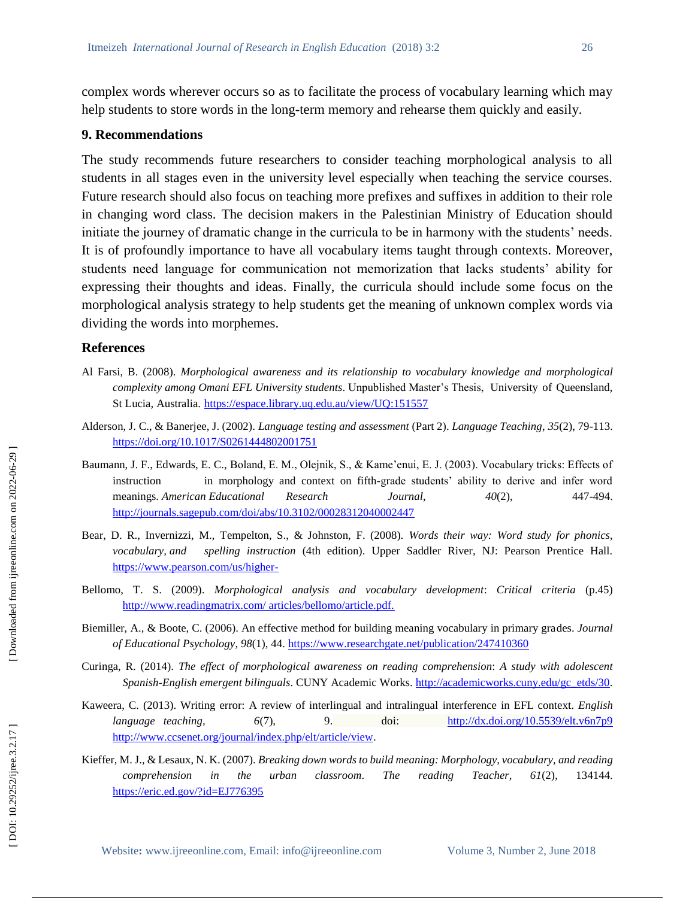complex words wherever occurs so as to facilitate the process of vocabulary learning which may help students to store words in the long-term memory and rehearse them quickly and easily.

#### **9. Recommendations**

The study recommends future researchers to consider teaching morphological analysis to all students in all stages even in the university level especially when teaching the service courses. Future research should also focus on teaching more prefixes and suffixes in addition to their role in changing word class. The decision makers in the Palestinian Ministry of Education should initiate the journey of dramatic change in the curricula to be in harmony with the students' needs. It is of profoundly importance to have all vocabulary items taught through contexts. Moreover, students need language for communication not memorization that lacks students' ability for expressing their thoughts and ideas. Finally, the curricula should include some focus on the morphological analysis strategy to help students get the meaning of unknown complex words via dividing the words into morphemes.

#### **References**

- Al Farsi, B. (2008). *Morphological awareness and its relationship to vocabulary knowledge and morphological complexity among Omani EFL University students*. Unpublished Master's Thesis, University of Queensland, St Lucia, Australia.<https://espace.library.uq.edu.au/view/UQ:151557>
- Alderson, J. C., & Banerjee, J. (2002). *Language testing and assessment* (Part 2). *Language Teaching*, *35*(2), 79 -113. <https://doi.org/10.1017/S0261444802001751>
- Baumann, J. F., Edwards, E. C., Boland, E. M., Olejnik, S., & Kame'enui, E. J. (2003). Vocabulary tricks: Effects of instruction in morphology and context on fifth -grade students' ability to derive and infer word meanings. *American Educational* Research *Journal*, *40(2)*, 447-494. <http://journals.sagepub.com/doi/abs/10.3102/00028312040002447>
- Bear, D. R., Invernizzi, M., Tempelton, S., & Johnston, F. (2008). *Words their way: Word study for phonics, vocabulary, and spelling instruction* (4th edition). Upper Saddler River, NJ: Pearson Prentice Hall. [https://www.pearson.com/us/higher](https://www.pearson.com/us/higher-)-
- Bellomo, T. S. (2009). *Morphological analysis and vocabulary development*: *Critical criteria* (p.45) [http://www.readingmatrix.com/ articles/bellomo/article.pdf.](http://www.readingmatrix.com/%20articles/bellomo/article.pdf.)
- Biemiller, A., & Boote, C. (2006). An effective method for building meaning vocabulary in primary grades. *Journal of Educational Psychology*, *98*(1), 44.<https://www.researchgate.net/publication/247410360>
- Curinga, R. (2014). *The effect of morphological awareness on reading comprehension*: *A study with adolescent*  Spanish-English emergent bilinguals. CUNY Academic Works. [http://academicworks.cuny.edu/gc\\_etds/30](http://academicworks.cuny.edu/gc_etds/30).
- Kaweera, C. (2013). Writing error: A review of interlingual and intralingual interference in EFL context. *English language teaching, 6*(7), 9. doi: <http://dx.doi.org/10.5539/elt.v6n7p9> <http://www.ccsenet.org/journal/index.php/elt/article/view> .
- Kieffer, M. J., & Lesaux, N. K. (2007). *Breaking down words to build meaning: Morphology, vocabulary, and reading comprehension in the urban classroom*. *The reading Teacher, 61*(2), 134144. <https://eric.ed.gov/?id=EJ776395>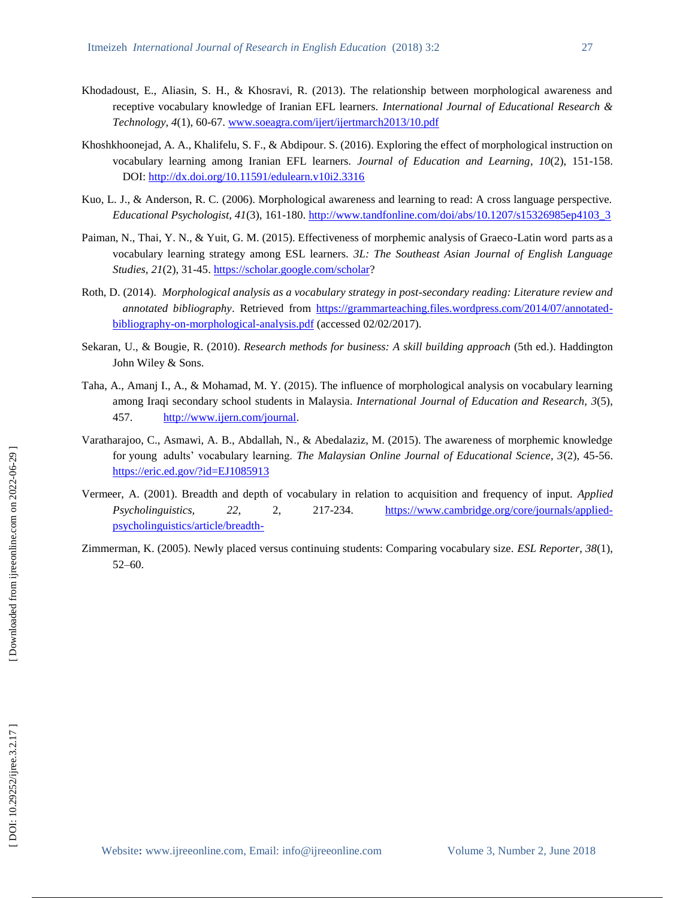- Khodadoust, E., Aliasin, S. H., & Khosravi, R. (2013). The relationship between morphological awareness and receptive vocabulary knowledge of Iranian EFL learners. *International Journal of Educational Research & Technology, 4*(1), 60 -67. [www.soeagra.com/ijert/ijertmarch2013/10.pdf](http://www.soeagra.com/ijert/ijertmarch2013/10.pdf)
- Khoshkhoonejad, A. A., Khalifelu, S. F., & Abdipour. S. (2016). Exploring the effect of morphological instruction on vocabulary learning among Iranian EFL learners. *Journal of Education and Learning*, *10*(2), 151 -158. DOI:<http://dx.doi.org/10.11591/edulearn.v10i2.3316>
- Kuo, L. J., & Anderson, R. C. (2006). Morphological awareness and learning to read: A cross language perspective. *Educational Psychologist*, *41*(3), 161 -180. [http://www.tandfonline.com/doi/abs/10.1207/s15326985ep4103\\_3](http://www.tandfonline.com/doi/abs/10.1207/s15326985ep4103_3)
- Paiman, N., Thai, Y. N., & Yuit, G. M. (2015). Effectiveness of morphemic analysis of Graeco-Latin word parts as a vocabulary learning strategy among ESL learners. *3L: The Southeast Asian Journal of English Language*  Studies, 21(2), 31-45.<https://scholar.google.com/scholar>?
- Roth, D. (2014). *Morphological analysis as a vocabulary strategy in post -secondary reading: Literature review and*  annotated bibliography. Retrieved from [https://grammarteaching.files.wordpress.com/2014/07/annotated](https://grammarteaching.files.wordpress.com/2014/07/annotated-bibliography-on-morphological-analysis.pdf)-bibliography-on[-morphological](https://grammarteaching.files.wordpress.com/2014/07/annotated-bibliography-on-morphological-analysis.pdf)-analysis.pdf (accessed 02/02/2017).
- Sekaran , U., & Bougie, R. (2010). *Research methods for business: A skill building approach* (5th ed.). Haddington John Wiley & Sons.
- Taha, A., Amanj I., A., & Mohamad, M. Y. (2015). The influence of morphological analysis on vocabulary learning among Iraqi secondary school students in Malaysia. *International Journal of Education and Research, 3*(5), 457. <http://www.ijern.com/journal>.
- Varatharajoo, C., Asmawi, A. B., Abdallah, N., & Abedalaziz, M. (2015). The awareness of morphemic knowledge for young adults' vocabulary learning. *The Malaysian Online Journal of Educational Science, 3*(2), 45 -56. <https://eric.ed.gov/?id=EJ1085913>
- Vermeer, A. (2001). Breadth and depth of vocabulary in relation to acquisition and frequency of input. *Applied Psycholinguistics,* 22, 2, 217-234. -234. [https://www.cambridge.org/core/journals/applied](https://www.cambridge.org/core/journals/applied-psycholinguistics/article/breadth-)[psycholinguistics/article/breadth](https://www.cambridge.org/core/journals/applied-psycholinguistics/article/breadth-) -
- Zimmerman, K. (2005). Newly placed versus continuing students: Comparing vocabulary size. *ESL Reporter, 38*(1), 52 –60.

DOI: 10.29252/ijree.3.2.17]

 [\[ DOI: 10.29252/ijree.3.2.17 \]](http://dx.doi.org/10.29252/ijree.3.2.17) [\[ Downloaded from ijreeonline.com on 202](https://ijreeonline.com/article-1-95-en.html)2-06-29 ]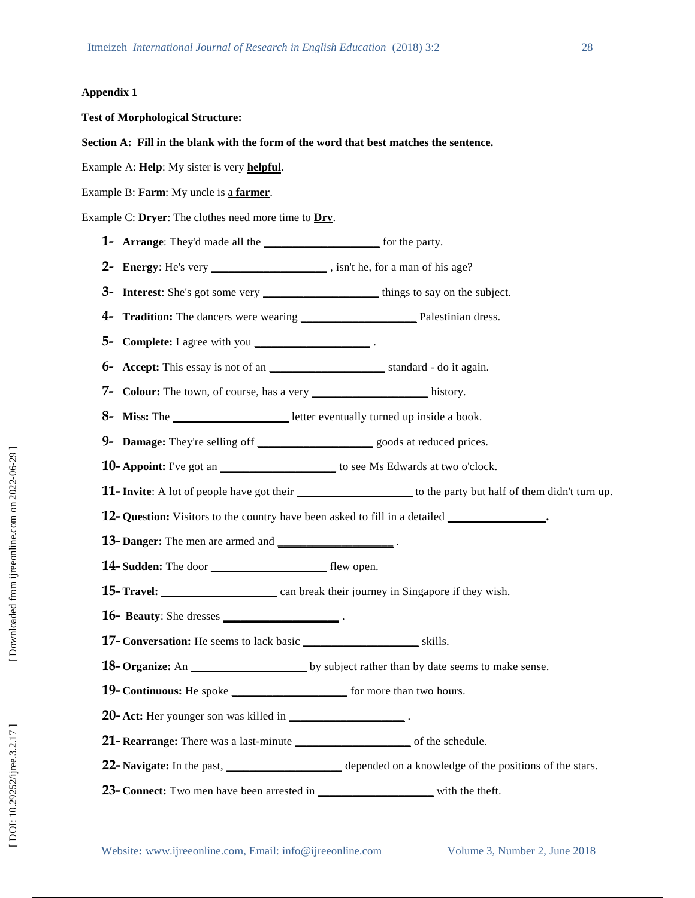#### **Appendix 1**

**Test of Morphological Structure:** 

#### **Section A: Fill in the blank with the form of the word that best matches the sentence.**

Example A: **Help**: My sister is very **helpful** .

Example B: **Farm**: My uncle is a **farmer**.

Example C: **Dryer**: The clothes need more time to **Dry** .

**1 - Arrange**: They'd made all the **\_\_\_\_\_\_\_\_\_\_\_\_\_\_\_\_\_\_\_\_** for the party.

**2 - Energy**: He's very **\_\_\_\_\_\_\_\_\_\_\_\_\_\_\_\_\_\_\_\_** , isn't he, for a man of his age?

**3 - Interest**: She's got some very **\_\_\_\_\_\_\_\_\_\_\_\_\_\_\_\_\_\_\_\_** things to say on the subject.

- **4 - Tradition:** The dancers were wearing **\_\_\_\_\_\_\_\_\_\_\_\_\_\_\_\_\_\_\_\_** Palestinian dress.
- **5- Complete:** I agree with you \_\_\_\_\_\_\_\_\_\_\_\_\_\_\_\_\_\_\_\_\_\_\_\_\_\_\_\_\_\_\_\_.
- **6 - Accept:** This essay is not of an **\_\_\_\_\_\_\_\_\_\_\_\_\_\_\_\_\_\_\_\_** standard do it again.

**7 - Colour:** The town, of course, has a very **\_\_\_\_\_\_\_\_\_\_\_\_\_\_\_\_\_\_\_\_** history.

**8 - Miss:** The **\_\_\_\_\_\_\_\_\_\_\_\_\_\_\_\_\_\_\_\_** letter eventually turned up inside a book.

**9 - Damage:** They're selling off **\_\_\_\_\_\_\_\_\_\_\_\_\_\_\_\_\_\_\_\_** goods at reduced prices.

**10 - Appoint:** I've got an **\_\_\_\_\_\_\_\_\_\_\_\_\_\_\_\_\_\_\_\_** to see Ms Edwards at two o'clock.

**11 - Invite** : A lot of people have got their **\_\_\_\_\_\_\_\_\_\_\_\_\_\_\_\_\_\_\_\_** to the party but half of them didn't turn up.

**12- Question:** Visitors to the country have been asked to fill in a detailed \_\_\_\_\_\_\_\_\_\_\_\_\_\_\_\_\_\_\_\_

- **13 - Danger:** The men are armed and **\_\_\_\_\_\_\_\_\_\_\_\_\_\_\_\_\_\_\_\_** .
- **14 - Sudden:** The door **\_\_\_\_\_\_\_\_\_\_\_\_\_\_\_\_\_\_\_\_** flew open.
- **15 - Travel: \_\_\_\_\_\_\_\_\_\_\_\_\_\_\_\_\_\_\_\_** can break their journey in Singapore if they wish.
- **16 - Beauty**: She dresses **\_\_\_\_\_\_\_\_\_\_\_\_\_\_\_\_\_\_\_\_** .
- **17 - Conversation:** He seems to lack basic **\_\_\_\_\_\_\_\_\_\_\_\_\_\_\_\_\_\_\_\_** skills.
- **18 Organize:** An **\_\_\_\_\_\_\_\_\_\_\_\_\_\_\_\_\_\_\_** by subject rather than by date seems to make sense.
- **19 Continuous:** He spoke \_\_\_\_\_\_\_\_\_\_\_\_\_\_\_\_\_\_\_\_\_\_\_\_\_ for more than two hours.
- **20 - Act:** Her younger son was killed in **\_\_\_\_\_\_\_\_\_\_\_\_\_\_\_\_\_\_\_\_** .
- 21- **Rearrange:** There was a last-minute **\_\_\_\_\_\_\_\_\_\_\_\_\_\_\_** of the schedule.
- 22 **Navigate:** In the past, \_\_\_\_\_\_\_\_\_\_\_\_\_\_\_\_\_\_\_\_\_\_\_\_ depended on a knowledge of the positions of the stars.
- **23- Connect:** Two men have been arrested in \_\_\_\_\_\_\_\_\_\_\_\_\_\_\_\_\_\_\_\_\_\_\_ with the theft.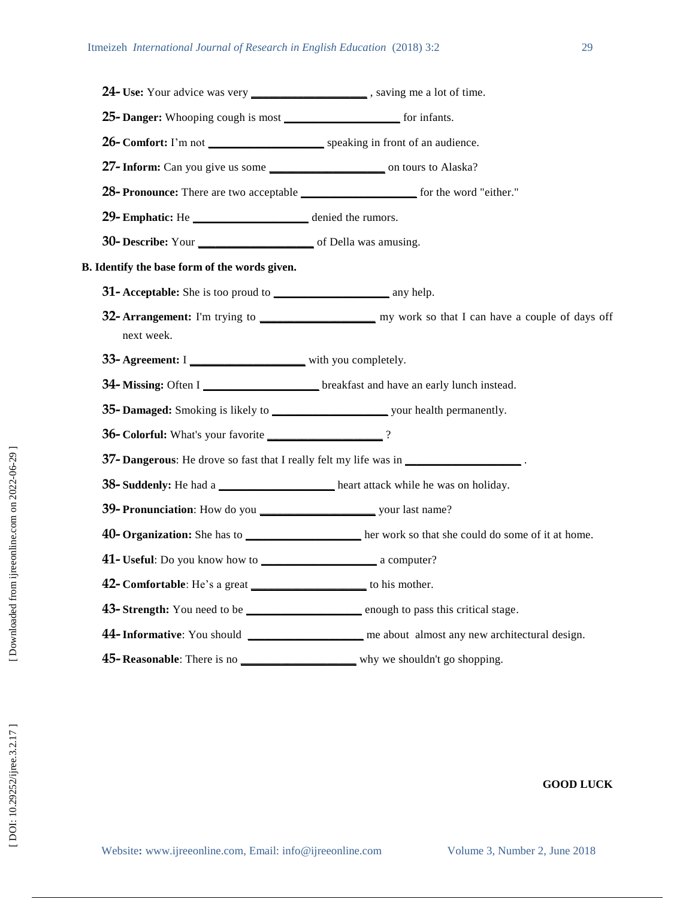**24-** Use: Your advice was very \_\_\_\_\_\_\_\_\_\_\_\_\_\_\_\_\_\_\_\_\_, saving me a lot of time. **- Danger:** Whooping cough is most **\_\_\_\_\_\_\_\_\_\_\_\_\_\_\_\_\_\_\_\_** for infants. **- Comfort:** I'm not **\_\_\_\_\_\_\_\_\_\_\_\_\_\_\_\_\_\_\_\_** speaking in front of an audience. **- Inform:** Can you give us some **\_\_\_\_\_\_\_\_\_\_\_\_\_\_\_\_\_\_\_\_** on tours to Alaska? **28- Pronounce:** There are two acceptable **\_\_\_\_\_\_\_\_\_\_\_\_\_\_\_\_** for the word "either." **- Emphatic:** He **\_\_\_\_\_\_\_\_\_\_\_\_\_\_\_\_\_\_\_\_** denied the rumors. **- Describe:** Your **\_\_\_\_\_\_\_\_\_\_\_\_\_\_\_\_\_\_\_\_** of Della was amusing. **B. Identify the base form of the words given. - Acceptable:** She is too proud to **\_\_\_\_\_\_\_\_\_\_\_\_\_\_\_\_\_\_\_\_** any help. **- Arrangement:** I'm trying to **\_\_\_\_\_\_\_\_\_\_\_\_\_\_\_\_\_\_\_\_** my work so that I can have a couple of days off next week. **33- Agreement:** I \_\_\_\_\_\_\_\_\_\_\_\_\_\_\_\_\_\_\_\_\_\_\_ with you completely. **- Missing:** Often I **\_\_\_\_\_\_\_\_\_\_\_\_\_\_\_\_\_\_\_\_** breakfast and have an early lunch instead. **- Damaged:** Smoking is likely to **\_\_\_\_\_\_\_\_\_\_\_\_\_\_\_\_\_\_\_\_** your health permanently. **- Colorful:** What's your favorite **\_\_\_\_\_\_\_\_\_\_\_\_\_\_\_\_\_\_\_\_** ? **- Dangerous**: He drove so fast that I really felt my life was in **\_\_\_\_\_\_\_\_\_\_\_\_\_\_\_\_\_\_\_\_** . **- Suddenly:** He had a **\_\_\_\_\_\_\_\_\_\_\_\_\_\_\_\_\_\_\_\_** heart attack while he was on holiday. **- Pronunciation**: How do you **\_\_\_\_\_\_\_\_\_\_\_\_\_\_\_\_\_\_\_\_** your last name? **- Organization:** She has to **\_\_\_\_\_\_\_\_\_\_\_\_\_\_\_\_\_\_\_\_** her work so that she could do some of it at home. **- Useful**: Do you know how to **\_\_\_\_\_\_\_\_\_\_\_\_\_\_\_\_\_\_\_\_** a computer? **- Comfortable**: He's a great **\_\_\_\_\_\_\_\_\_\_\_\_\_\_\_\_\_\_\_\_** to his mother . **43- Strength:** You need to be \_\_\_\_\_\_\_\_\_\_\_\_\_\_\_\_\_\_\_\_\_\_ enough to pass this critical stage. **-Informative**: You should **\_\_\_\_\_\_\_\_\_\_\_\_\_\_\_\_\_\_\_\_** me about almost any new architectural design. **- Reasonable**: There is no **\_\_\_\_\_\_\_\_\_\_\_\_\_\_\_\_\_\_\_\_** why we shouldn't go shopping.

## **GOOD LUCK**

Website: www.ijreeonline.com, Email: info@ijreeonline.com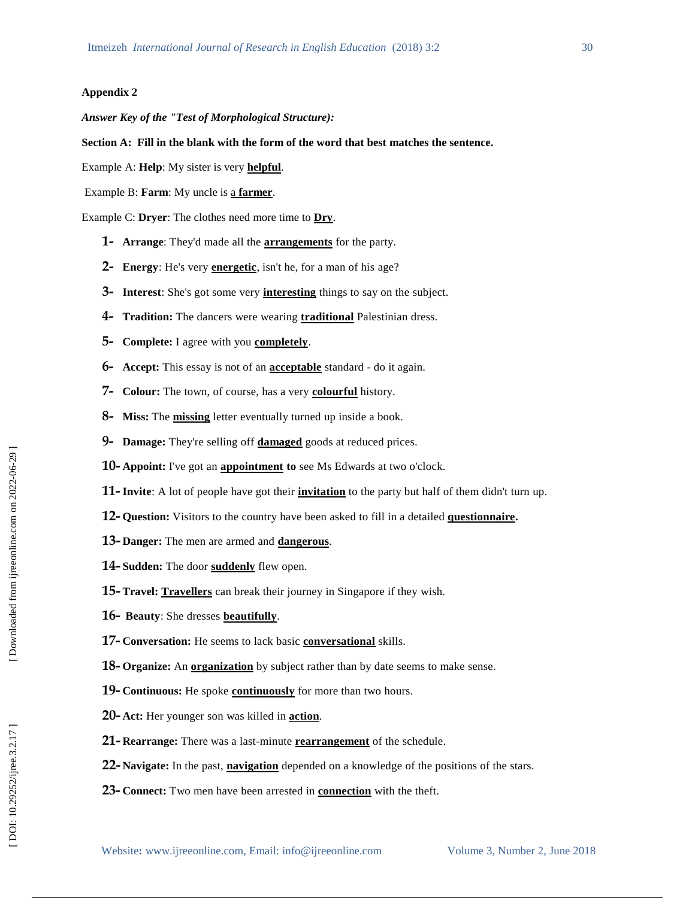#### **Appendix 2**

*Answer Key of the "Test of Morphological Structure):* 

#### **Section A: Fill in the blank with the form of the word that best matches the sentence.**

Example A: **Help**: My sister is very **helpful** .

Example B: **Farm**: My uncle is a **farmer**.

Example C: **Dryer**: The clothes need more time to **Dry** .

- **- Arrange**: They'd made all the **arrangements** for the party.
- **- Energy**: He's very **energetic**, isn't he, for a man of his age?
- **- Interest**: She's got some very **interesting** things to say on the subject.
- **- Tradition:** The dancers were wearing **traditional** Palestinian dress.
- **- Complete:**  I agree with you **completely** .
- **- Accept:** This essay is not of an **acceptable** standard do it again.
- **- Colour:** The town, of course, has a very **colourful** history.
- **- Miss:** The **missing** letter eventually turned up inside a book.
- **- Damage:** They're selling off **damaged** goods at reduced prices.
- **- Appoint:** I've got an **appointment to** see Ms Edwards at two o'clock.
- **- Invite** : A lot of people have got their **invitation** to the party but half of them didn't turn up.
- **- Question:** Visitors to the country have been asked to fill in a detailed **questionnaire .**
- **- Danger:** The men are armed and **dangerous** .
- **- Sudden:** The door **suddenly** flew open.
- **- Travel: Travellers** can break their journey in Singapore if they wish.
- **- Beauty**: She dresses **beautifully** .
- **- Conversation:** He seems to lack basic **conversational** skills.
- **- Organize:** An **organization** by subject rather than by date seems to make sense .
- **- Continuous:** He spoke **continuously** for more than two hours.
- **- Act:** Her younger son was killed in **action** .
- **- Rearrange:** There was a last -minute **rearrangement** of the schedule.
- **- Navigate:** In the past, **navigation** depended on a knowledge of the positions of the stars .
- **- Connect:** Two men have been arrested in **connection** with the theft .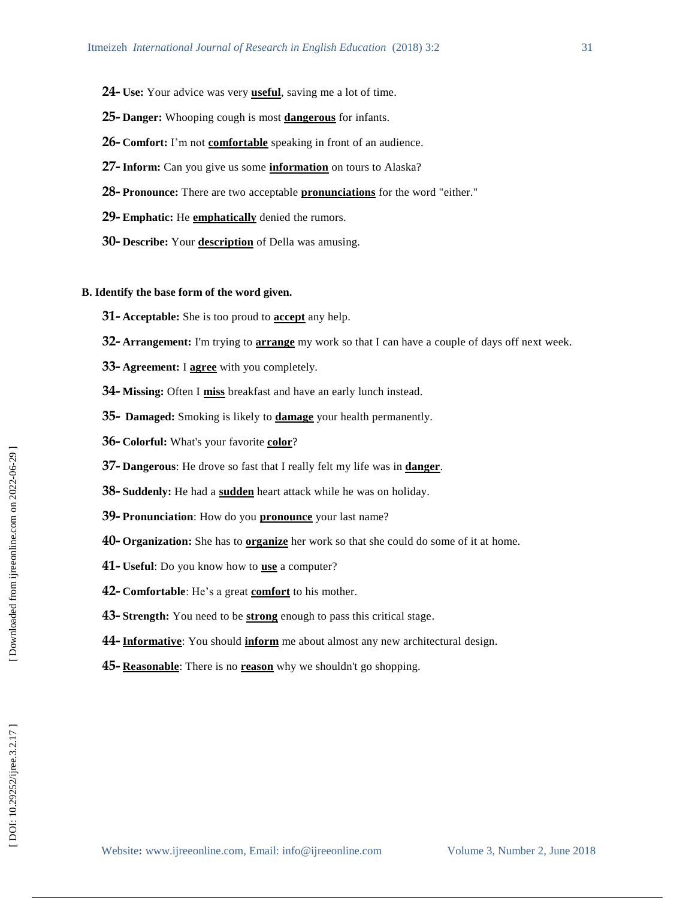- **- Use:** Your advice was very **useful** , saving me a lot of time.
- **- Danger:** Whooping cough is most **dangerous** for infants.
- **- Comfort:** I'm not **comfortable** speaking in front of an audience.
- **- Inform:** Can you give us some **information** on tours to Alaska?
- **- Pronounce:** There are two acceptable **pronunciations** for the word "either."
- **- Emphatic:** He **emphatically** denied the rumors.
- **- Describe:** Your **description** of Della was amusing.

#### **B. Identify the base form of the word given.**

- **- Acceptable:** She is too proud to **accept** any help.
- **- Arrangement:** I'm trying to **arrange** my work so that I can have a couple of days off next week.
- **- Agreement:** I **agree** with you completely.
- **- Missing:** Often I **miss** breakfast and have an early lunch instead.
- **- Damaged:** Smoking is likely to **damage** your health permanently.
- **- Colorful:** What's your favorite **color** ?
- **- Dangerous**: He drove so fast that I really felt my life was in **danger** .
- **- Suddenly:** He had a **sudden** heart attack while he was on holiday.
- **- Pronunciation**: How do you **pronounce** your last name?
- **- Organization:** She has to **organize** her work so that she could do some of it at home.
- **- Useful**: Do you know how to **use** a computer?
- **- Comfortable**: He's a great **comfort** to his mother .
- **- Strength:** You need to be **strong** enough to pass this critical stage.
- **- Informative**: You should **inform** me about almost any new architectural design.
- **- Reasonable**: There is no **reason** why we shouldn't go shopping.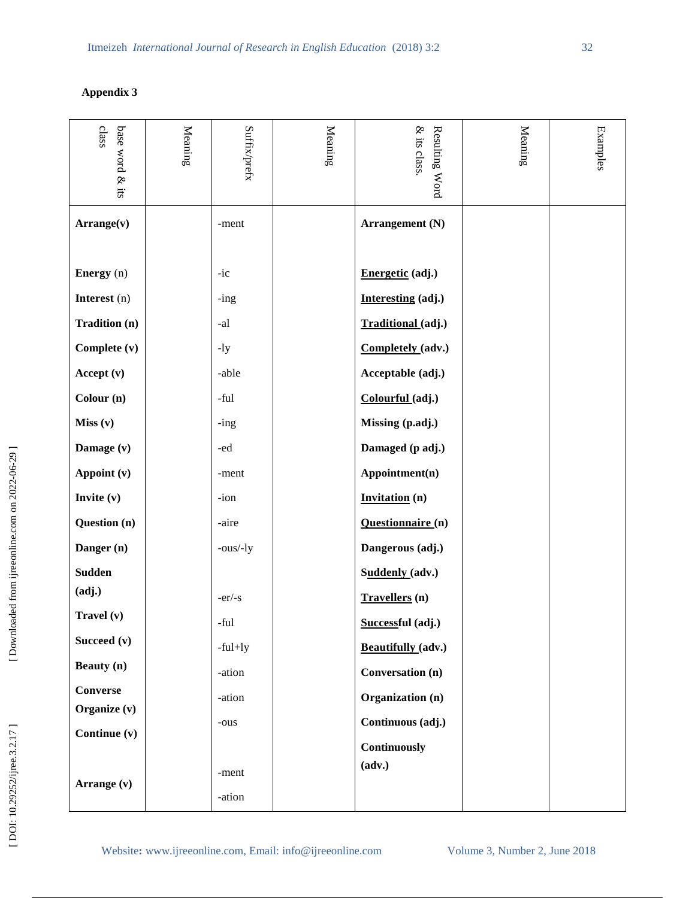# **Appendix 3**

| class<br>base word & its | Meaning | Suffix/prefx | Meaning | & its class<br>Resulting Word | Meaning | <b>Examples</b> |
|--------------------------|---------|--------------|---------|-------------------------------|---------|-----------------|
| Arrange(v)               |         | -ment        |         | Arrangement (N)               |         |                 |
| Energy (n)               |         | $-ic$        |         | Energetic (adj.)              |         |                 |
| Interest (n)             |         | $-$ ing      |         | Interesting (adj.)            |         |                 |
| <b>Tradition (n)</b>     |         | -al          |         | Traditional (adj.)            |         |                 |
| Complete (v)             |         | $-1y$        |         | Completely (adv.)             |         |                 |
| Accept (v)               |         | -able        |         | Acceptable (adj.)             |         |                 |
| Colour (n)               |         | -ful         |         | Colourful (adj.)              |         |                 |
| Miss (v)                 |         | $-$ ing      |         | Missing (p.adj.)              |         |                 |
| Damage (v)               |         | -ed          |         | Damaged (p adj.)              |         |                 |
| Appoint (v)              |         | -ment        |         | Appointment(n)                |         |                 |
| Invite $(v)$             |         | -ion         |         | <b>Invitation</b> (n)         |         |                 |
| Question (n)             |         | -aire        |         | Questionnaire (n)             |         |                 |
| Danger (n)               |         | -ous/-ly     |         | Dangerous (adj.)              |         |                 |
| <b>Sudden</b>            |         |              |         | Suddenly (adv.)               |         |                 |
| (adj.)                   |         | $-er/-s$     |         | Travellers (n)                |         |                 |
| Travel (v)               |         | -ful         |         | Successful (adj.)             |         |                 |
| Succeed (v)              |         | $-ful+ly$    |         | Beautifully (adv.)            |         |                 |
| <b>Beauty</b> (n)        |         | -ation       |         | <b>Conversation</b> (n)       |         |                 |
| <b>Converse</b>          |         | -ation       |         | Organization (n)              |         |                 |
| Organize (v)             |         | -ous         |         | Continuous (adj.)             |         |                 |
| Continue (v)             |         |              |         | Continuously                  |         |                 |
| Arrange (v)              |         | -ment        |         | (adv.)                        |         |                 |
|                          |         | -ation       |         |                               |         |                 |